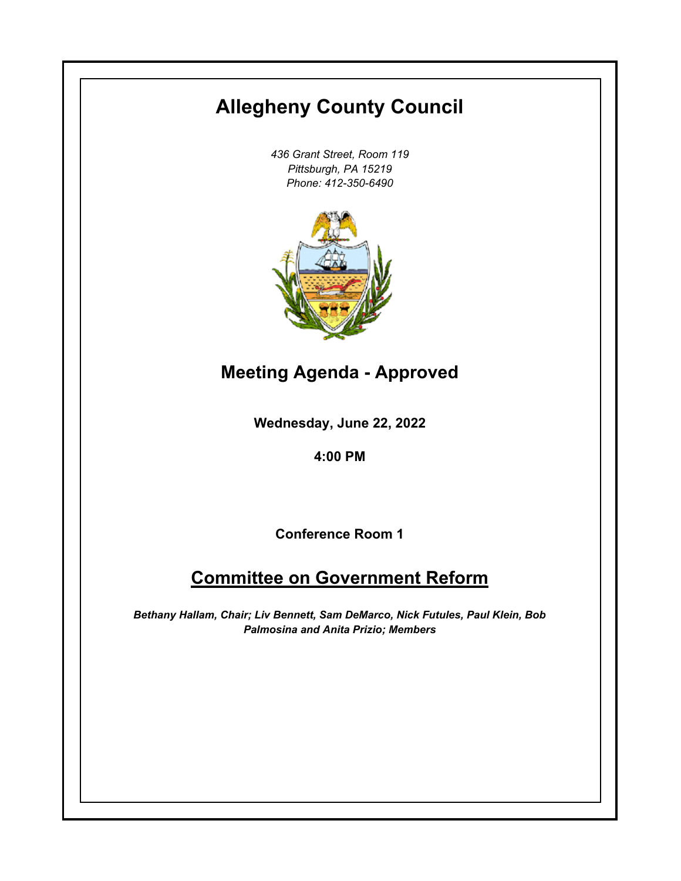# **Allegheny County Council**

*436 Grant Street, Room 119 Pittsburgh, PA 15219 Phone: 412-350-6490*



**Meeting Agenda - Approved**

**Wednesday, June 22, 2022**

**4:00 PM**

**Conference Room 1**

## **Committee on Government Reform**

*Bethany Hallam, Chair; Liv Bennett, Sam DeMarco, Nick Futules, Paul Klein, Bob Palmosina and Anita Prizio; Members*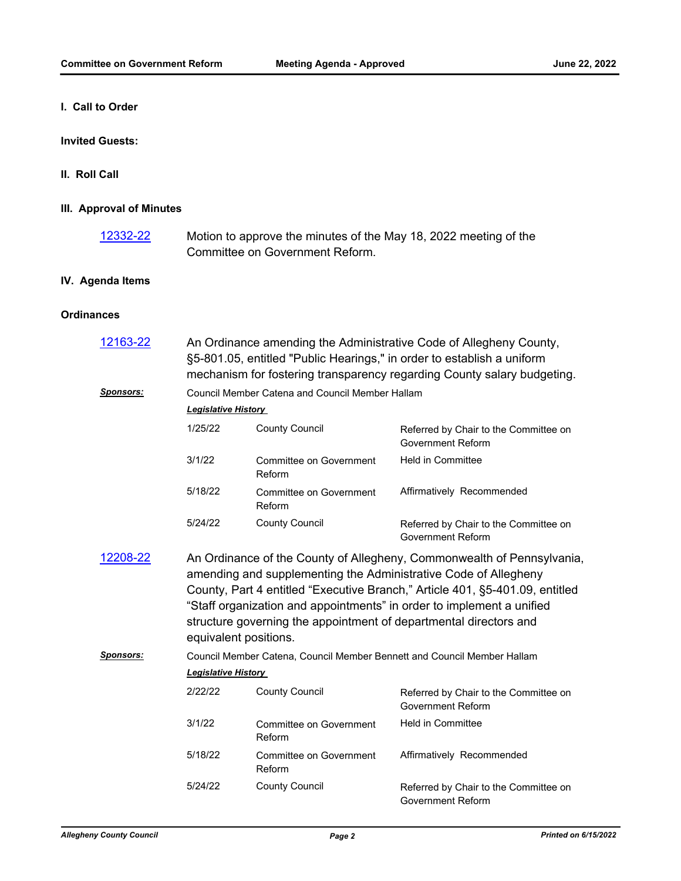**I. Call to Order**

#### **Invited Guests:**

#### **II. Roll Call**

#### **III. Approval of Minutes**

Motion to approve the minutes of the May 18, 2022 meeting of the Committee on Government Reform. [12332-22](http://allegheny.legistar.com/gateway.aspx?m=l&id=/matter.aspx?key=13397)

#### **IV. Agenda Items**

#### **Ordinances**

| 12163-22         | An Ordinance amending the Administrative Code of Allegheny County,<br>§5-801.05, entitled "Public Hearings," in order to establish a uniform<br>mechanism for fostering transparency regarding County salary budgeting.                                                                                                                                                                          |                                   |                                                                   |
|------------------|--------------------------------------------------------------------------------------------------------------------------------------------------------------------------------------------------------------------------------------------------------------------------------------------------------------------------------------------------------------------------------------------------|-----------------------------------|-------------------------------------------------------------------|
| Sponsors:        | Council Member Catena and Council Member Hallam                                                                                                                                                                                                                                                                                                                                                  |                                   |                                                                   |
|                  | <b>Legislative History</b>                                                                                                                                                                                                                                                                                                                                                                       |                                   |                                                                   |
|                  | 1/25/22                                                                                                                                                                                                                                                                                                                                                                                          | <b>County Council</b>             | Referred by Chair to the Committee on<br><b>Government Reform</b> |
|                  | 3/1/22                                                                                                                                                                                                                                                                                                                                                                                           | Committee on Government<br>Reform | <b>Held in Committee</b>                                          |
|                  | 5/18/22                                                                                                                                                                                                                                                                                                                                                                                          | Committee on Government<br>Reform | Affirmatively Recommended                                         |
|                  | 5/24/22                                                                                                                                                                                                                                                                                                                                                                                          | <b>County Council</b>             | Referred by Chair to the Committee on<br><b>Government Reform</b> |
| 12208-22         | An Ordinance of the County of Allegheny, Commonwealth of Pennsylvania,<br>amending and supplementing the Administrative Code of Allegheny<br>County, Part 4 entitled "Executive Branch," Article 401, §5-401.09, entitled<br>"Staff organization and appointments" in order to implement a unified<br>structure governing the appointment of departmental directors and<br>equivalent positions. |                                   |                                                                   |
| <b>Sponsors:</b> | Council Member Catena, Council Member Bennett and Council Member Hallam                                                                                                                                                                                                                                                                                                                          |                                   |                                                                   |
|                  | <b>Legislative History</b>                                                                                                                                                                                                                                                                                                                                                                       |                                   |                                                                   |
|                  | 2/22/22                                                                                                                                                                                                                                                                                                                                                                                          | <b>County Council</b>             | Referred by Chair to the Committee on<br><b>Government Reform</b> |
|                  | 3/1/22                                                                                                                                                                                                                                                                                                                                                                                           | Committee on Government<br>Reform | <b>Held in Committee</b>                                          |
|                  | 5/18/22                                                                                                                                                                                                                                                                                                                                                                                          | Committee on Government<br>Reform | Affirmatively Recommended                                         |
|                  | 5/24/22                                                                                                                                                                                                                                                                                                                                                                                          | <b>County Council</b>             | Referred by Chair to the Committee on<br>Government Reform        |